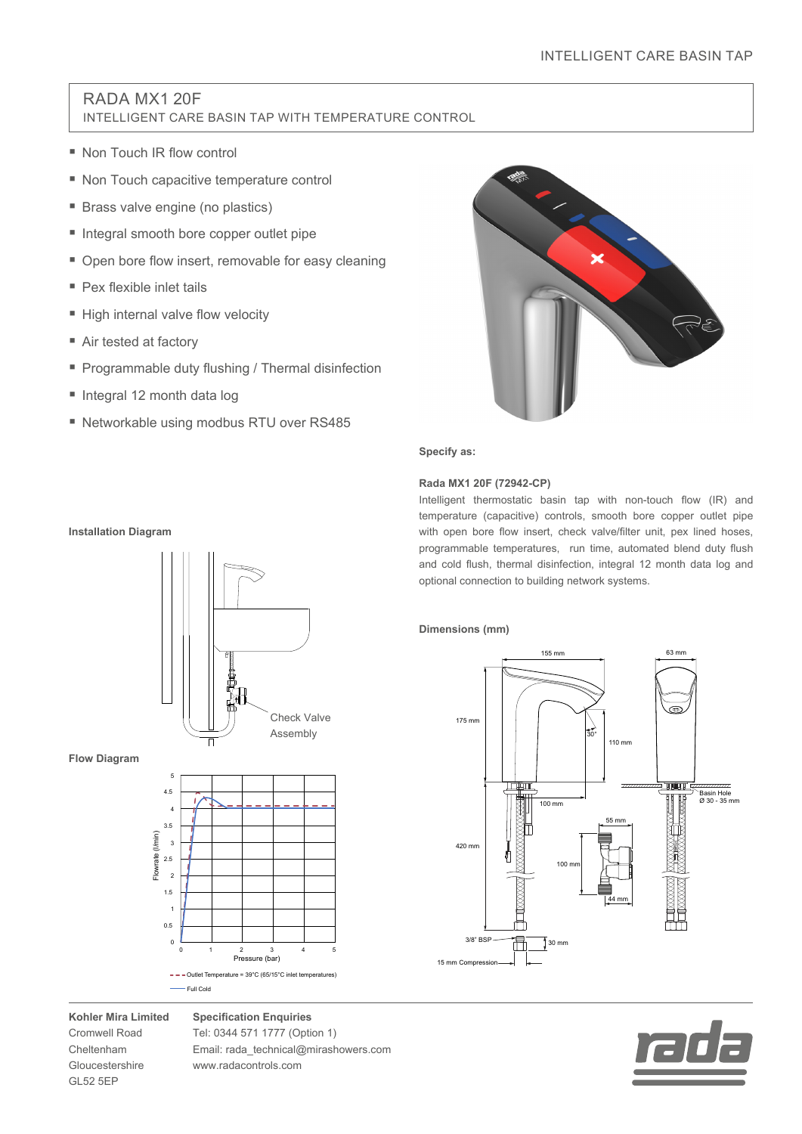# RADA MX1 20F INTELLIGENT CARE BASIN TAP WITH TEMPERATURE CONTROL

- Non Touch IR flow control
- Non Touch capacitive temperature control
- **Brass valve engine (no plastics)**
- Integral smooth bore copper outlet pipe
- Open bore flow insert, removable for easy cleaning
- Pex flexible inlet tails
- High internal valve flow velocity
- Air tested at factory
- **Programmable duty flushing / Thermal disinfection**
- Integral 12 month data log
- Networkable using modbus RTU over RS485



**Specify as:**

## **Rada MX1 20F (72942-CP)**

Intelligent thermostatic basin tap with non-touch flow (IR) and temperature (capacitive) controls, smooth bore copper outlet pipe with open bore flow insert, check valve/filter unit, pex lined hoses, programmable temperatures, run time, automated blend duty flush and cold flush, thermal disinfection, integral 12 month data log and optional connection to building network systems.

# **Dimensions (mm)**





**Installation Diagram**



**Flow Diagram**



**Kohler Mira Limited** Cromwell Road Cheltenham Gloucestershire GL52 5EP

**Specification Enquiries** Tel: 0344 571 1777 (Option 1) Email: rada\_technical@mirashowers.com www.radacontrols.com